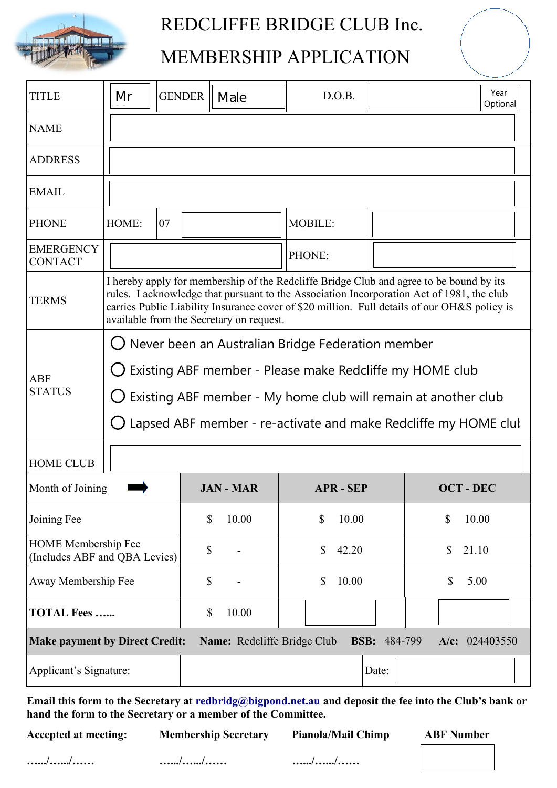

## REDCLIFFE BRIDGE CLUB Inc.

## MEMBERSHIP APPLICATION

| <b>TITLE</b>                                                                                                  | Mr                                                                                                                                                                                                                                                                                                                               | <b>GENDER</b> | Male           | D.O.B.           |       |                                    | Year<br>Optional |
|---------------------------------------------------------------------------------------------------------------|----------------------------------------------------------------------------------------------------------------------------------------------------------------------------------------------------------------------------------------------------------------------------------------------------------------------------------|---------------|----------------|------------------|-------|------------------------------------|------------------|
| <b>NAME</b>                                                                                                   |                                                                                                                                                                                                                                                                                                                                  |               |                |                  |       |                                    |                  |
| <b>ADDRESS</b>                                                                                                |                                                                                                                                                                                                                                                                                                                                  |               |                |                  |       |                                    |                  |
| <b>EMAIL</b>                                                                                                  |                                                                                                                                                                                                                                                                                                                                  |               |                |                  |       |                                    |                  |
| <b>PHONE</b>                                                                                                  | HOME:                                                                                                                                                                                                                                                                                                                            | 07            |                | <b>MOBILE:</b>   |       |                                    |                  |
| <b>EMERGENCY</b><br><b>CONTACT</b>                                                                            |                                                                                                                                                                                                                                                                                                                                  |               |                | PHONE:           |       |                                    |                  |
| <b>TERMS</b>                                                                                                  | I hereby apply for membership of the Redcliffe Bridge Club and agree to be bound by its<br>rules. I acknowledge that pursuant to the Association Incorporation Act of 1981, the club<br>carries Public Liability Insurance cover of \$20 million. Full details of our OH&S policy is<br>available from the Secretary on request. |               |                |                  |       |                                    |                  |
| ABF<br><b>STATUS</b>                                                                                          | $\bigcup$ Never been an Australian Bridge Federation member<br>Existing ABF member - Please make Redcliffe my HOME club<br>Existing ABF member - My home club will remain at another club<br>$\Box$<br>Lapsed ABF member - re-activate and make Redcliffe my HOME clul                                                           |               |                |                  |       |                                    |                  |
| <b>HOME CLUB</b>                                                                                              |                                                                                                                                                                                                                                                                                                                                  |               |                |                  |       |                                    |                  |
| Month of Joining                                                                                              |                                                                                                                                                                                                                                                                                                                                  |               | <b>JAN-MAR</b> | <b>APR - SEP</b> |       | <b>OCT-DEC</b>                     |                  |
| Joining Fee                                                                                                   |                                                                                                                                                                                                                                                                                                                                  |               | \$<br>10.00    | \$<br>10.00      |       | $\boldsymbol{\mathsf{S}}$<br>10.00 |                  |
| <b>HOME</b> Membership Fee<br>(Includes ABF and QBA Levies)                                                   |                                                                                                                                                                                                                                                                                                                                  |               | \$             | \$<br>42.20      |       | \$<br>21.10                        |                  |
| Away Membership Fee                                                                                           |                                                                                                                                                                                                                                                                                                                                  |               | \$<br>-        | 10.00<br>\$      |       | \$<br>5.00                         |                  |
| <b>TOTAL Fees </b>                                                                                            |                                                                                                                                                                                                                                                                                                                                  |               | \$<br>10.00    |                  |       |                                    |                  |
| <b>BSB:</b> 484-799<br><b>Make payment by Direct Credit:</b><br>Name: Redcliffe Bridge Club<br>A/c: 024403550 |                                                                                                                                                                                                                                                                                                                                  |               |                |                  |       |                                    |                  |
| Applicant's Signature:                                                                                        |                                                                                                                                                                                                                                                                                                                                  |               |                |                  | Date: |                                    |                  |

Email this form to the Secretary at redbridg@bigpond.net.au and deposit the fee into the Club's bank or **hand the form to the Secretary or a member of the Committee.**

**Accepted at meeting: Membership Secretary Pianola/Mail Chimp ABF Number**

**….../….../…… ….../….../…… ….../….../……**